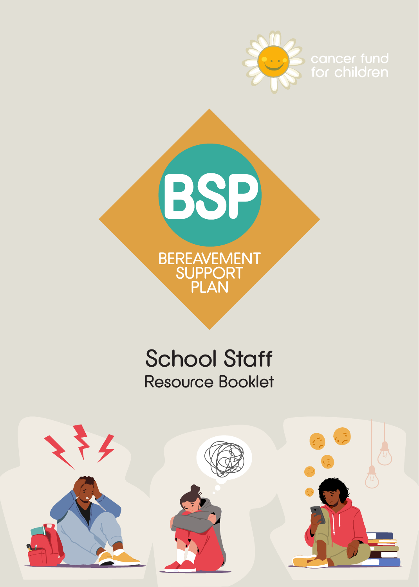



# School Staff Resource Booklet

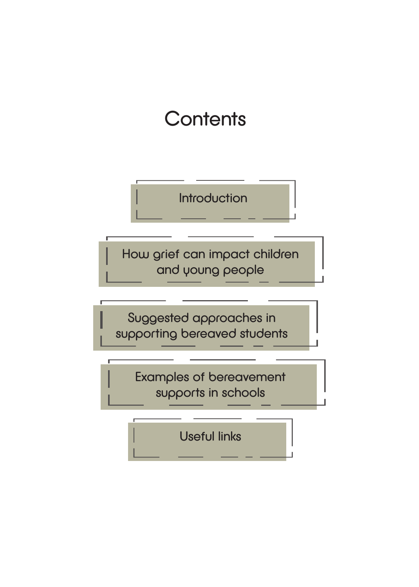# **Contents**

**Introduction** 

How grief can impact children and young people

Suggested approaches in supporting bereaved students

> Examples of bereavement supports in schools

> > Useful links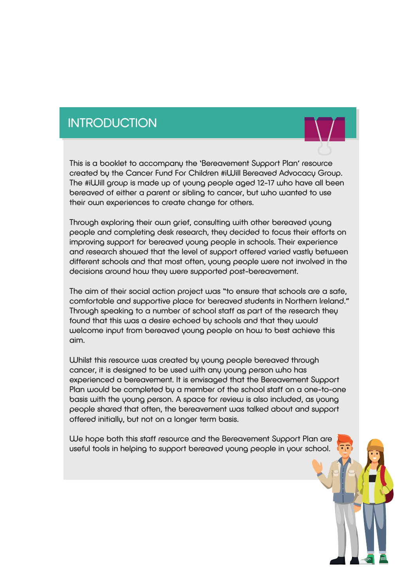### **INTRODUCTION**

This is a booklet to accompany the 'Bereavement Support Plan' resource created by the Cancer Fund For Children #iWill Bereaved Advocacy Group. The #iWill group is made up of young people aged 12-17 who have all been bereaved of either a parent or sibling to cancer, but who wanted to use their own experiences to create change for others.

Through exploring their own grief, consulting with other bereaved young people and completing desk research, they decided to focus their efforts on improving support for bereaved young people in schools. Their experience and research showed that the level of support offered varied vastly between different schools and that most often, young people were not involved in the decisions around how they were supported post-bereavement.

The aim of their social action project was "to ensure that schools are a safe, comfortable and supportive place for bereaved students in Northern Ireland." Through speaking to a number of school staff as part of the research they found that this was a desire echoed by schools and that they would welcome input from bereaved young people on how to best achieve this aim.

Whilst this resource was created by young people bereaved through cancer, it is designed to be used with any young person who has experienced a bereavement. It is envisaged that the Bereavement Support Plan would be completed by a member of the school staff on a one-to-one basis with the young person. A space for review is also included, as young people shared that often, the bereavement was talked about and support offered initially, but not on a longer term basis.

We hope both this staff resource and the Bereavement Support Plan are useful tools in helping to support bereaved young people in your school.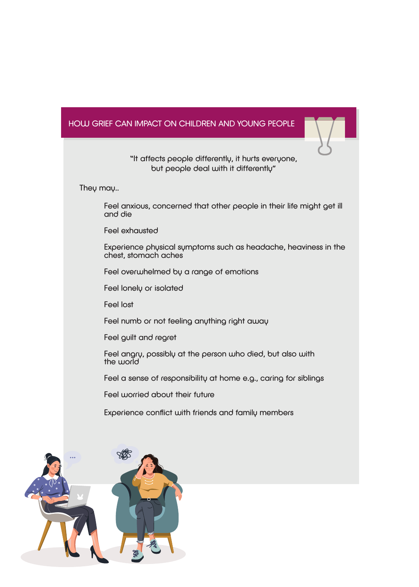#### HOW GRIEF CAN IMPACT ON CHILDREN AND YOUNG PEOPLE

"It affects people differently, it hurts everyone, but people deal with it differently"

They may..

 Feel anxious, concerned that other people in their life might get ill and die

 Feel exhausted

 Experience physical symptoms such as headache, heaviness in the chest, stomach aches

 Feel overwhelmed by a range of emotions

 Feel lonely or isolated

 Feel lost

 Feel numb or not feeling anything right away

 Feel guilt and regret

 Feel angry, possibly at the person who died, but also with the world

 Feel a sense of responsibility at home e.g., caring for siblings

 Feel worried about their future 

 Experience conflict with friends and family members

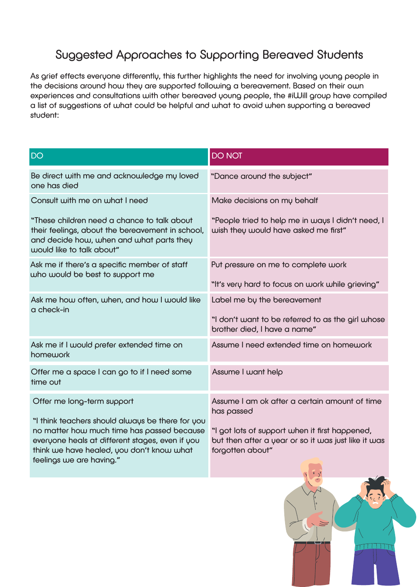## Suggested Approaches to Supporting Bereaved Students

As grief effects everyone differently, this further highlights the need for involving young people in the decisions around how they are supported following a bereavement. Based on their own experiences and consultations with other bereaved young people, the #iWill group have compiled a list of suggestions of what could be helpful and what to avoid when supporting a bereaved student:

| <b>DO</b>                                                                                                                                                                                                                  | <b>DO NOT</b>                                                                                                             |
|----------------------------------------------------------------------------------------------------------------------------------------------------------------------------------------------------------------------------|---------------------------------------------------------------------------------------------------------------------------|
| Be direct with me and acknowledge my loved<br>one has died                                                                                                                                                                 | "Dance around the subject"                                                                                                |
| Consult with me on what I need                                                                                                                                                                                             | Make decisions on my behalf                                                                                               |
| "These children need a chance to talk about<br>their feelings, about the bereavement in school,<br>and decide how, when and what parts they<br>would like to talk about"                                                   | "People tried to help me in ways I didn't need, I<br>wish they would have asked me first"                                 |
| Ask me if there's a specific member of staff<br>who would be best to support me                                                                                                                                            | Put pressure on me to complete work                                                                                       |
|                                                                                                                                                                                                                            | "It's very hard to focus on work while grieving"                                                                          |
| Ask me how often, when, and how I would like<br>a check-in                                                                                                                                                                 | Label me by the bereavement                                                                                               |
|                                                                                                                                                                                                                            | "I don't want to be referred to as the girl whose<br>brother died, I have a name"                                         |
| Ask me if I would prefer extended time on<br>homework                                                                                                                                                                      | Assume I need extended time on homework                                                                                   |
| Offer me a space I can go to if I need some<br>time out                                                                                                                                                                    | Assume I want help                                                                                                        |
| Offer me long-term support                                                                                                                                                                                                 | Assume I am ok after a certain amount of time<br>has passed                                                               |
| "I think teachers should always be there for you<br>no matter how much time has passed because<br>everyone heals at different stages, even if you<br>think we have healed, you don't know what<br>feelings we are having." | "I got lots of support when it first happened,<br>but then after a year or so it was just like it was<br>forgotten about" |

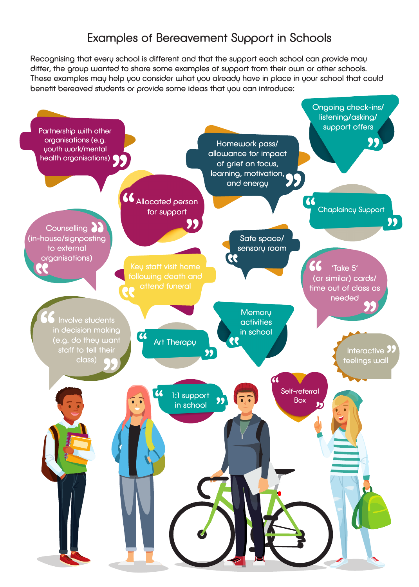### Examples of Bereavement Support in Schools

Recognising that every school is different and that the support each school can provide may differ, the group wanted to share some examples of support from their own or other schools. These examples may help you consider what you already have in place in your school that could benefit bereaved students or provide some ideas that you can introduce:

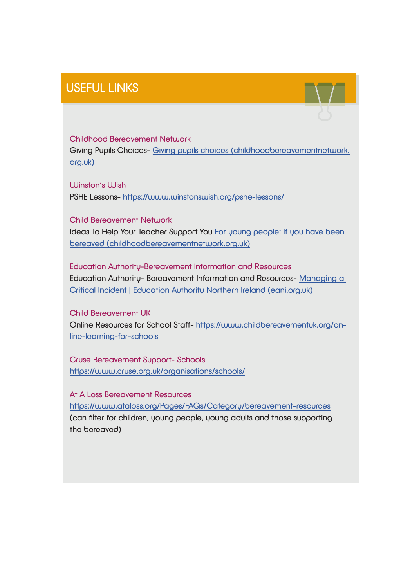## USEFUL LINKS

Childhood Bereavement Network Giving Pupils Choices- Giving pupils choices (childhoodbereavementnetwork. org.uk)

Ullinston's Wish PSHE Lessons- https://www.winstonswish.org/pshe-lessons/

Child Bereavement Network Ideas To Help Your Teacher Support You For young people: if you have been bereaved (childhoodbereavementnetwork.org.uk)

Education Authority-Bereavement Information and Resources Education Authority- Bereavement Information and Resources- Managing a Critical Incident | Education Authority Northern Ireland (eani.org.uk)

Child Bereavement UK Online Resources for School Staff- https://www.childbereavementuk.org/online-learning-for-schools

Cruse Bereavement Support- Schools https://www.cruse.org.uk/organisations/schools/

At A Loss Bereavement Resources https://www.ataloss.org/Pages/FAQs/Category/bereavement-resources (can filter for children, young people, young adults and those supporting the bereaved)